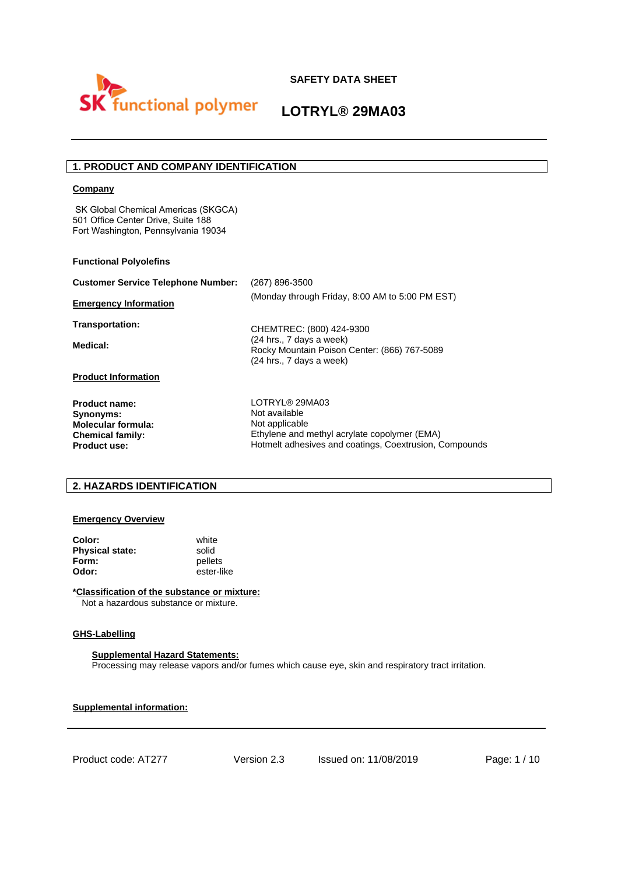

# **LOTRYL® 29MA03**

# **1. PRODUCT AND COMPANY IDENTIFICATION**

### **Company**

SK Global Chemical Americas (SKGCA) 501 Office Center Drive, Suite 188 Fort Washington, Pennsylvania 19034

#### **Functional Polyolefins**

| <b>Customer Service Telephone Number:</b>                                                                        | (267) 896-3500                                                                                                                                              |  |  |
|------------------------------------------------------------------------------------------------------------------|-------------------------------------------------------------------------------------------------------------------------------------------------------------|--|--|
| <b>Emergency Information</b>                                                                                     | (Monday through Friday, 8:00 AM to 5:00 PM EST)                                                                                                             |  |  |
| Transportation:                                                                                                  | CHEMTREC: (800) 424-9300                                                                                                                                    |  |  |
| Medical:                                                                                                         | (24 hrs., 7 days a week)<br>Rocky Mountain Poison Center: (866) 767-5089<br>(24 hrs., 7 days a week)                                                        |  |  |
| <b>Product Information</b>                                                                                       |                                                                                                                                                             |  |  |
| <b>Product name:</b><br>Synonyms:<br><b>Molecular formula:</b><br><b>Chemical family:</b><br><b>Product use:</b> | LOTRYL® 29MA03<br>Not available<br>Not applicable<br>Ethylene and methyl acrylate copolymer (EMA)<br>Hotmelt adhesives and coatings, Coextrusion, Compounds |  |  |

## **2. HAZARDS IDENTIFICATION**

## **Emergency Overview**

| Color:                 | white      |
|------------------------|------------|
| <b>Physical state:</b> | solid      |
| Form:                  | pellets    |
| Odor:                  | ester-like |

**\*Classification of the substance or mixture:** Not a hazardous substance or mixture.

#### **GHS-Labelling**

#### **Supplemental Hazard Statements:**

Processing may release vapors and/or fumes which cause eye, skin and respiratory tract irritation.

**Supplemental information:**

Product code: AT277 Version 2.3 Issued on: 11/08/2019 Page: 1/10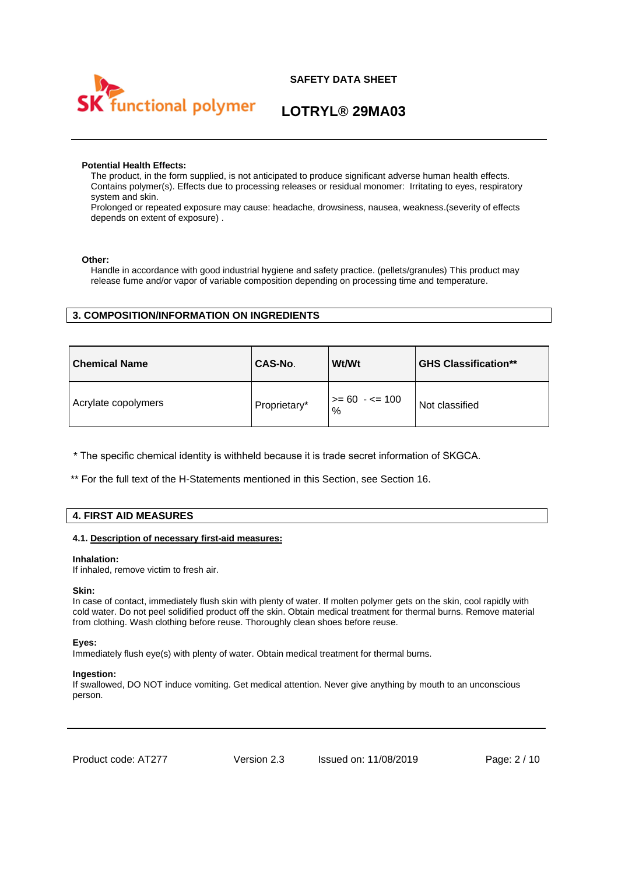

# **LOTRYL® 29MA03**

### **Potential Health Effects:**

The product, in the form supplied, is not anticipated to produce significant adverse human health effects. Contains polymer(s). Effects due to processing releases or residual monomer: Irritating to eyes, respiratory system and skin.

Prolonged or repeated exposure may cause: headache, drowsiness, nausea, weakness.(severity of effects depends on extent of exposure) .

### **Other:**

Handle in accordance with good industrial hygiene and safety practice. (pellets/granules) This product may release fume and/or vapor of variable composition depending on processing time and temperature.

# **3. COMPOSITION/INFORMATION ON INGREDIENTS**

| <b>Chemical Name</b> | CAS-No.      | Wt/Wt                       | <b>GHS Classification**</b> |
|----------------------|--------------|-----------------------------|-----------------------------|
| Acrylate copolymers  | Proprietary* | $\vert$ >= 60 · <= 100<br>% | Not classified              |

\* The specific chemical identity is withheld because it is trade secret information of SKGCA.

\*\* For the full text of the H-Statements mentioned in this Section, see Section 16.

## **4. FIRST AID MEASURES**

### **4.1. Description of necessary first-aid measures:**

#### **Inhalation:**

If inhaled, remove victim to fresh air.

### **Skin:**

In case of contact, immediately flush skin with plenty of water. If molten polymer gets on the skin, cool rapidly with cold water. Do not peel solidified product off the skin. Obtain medical treatment for thermal burns. Remove material from clothing. Wash clothing before reuse. Thoroughly clean shoes before reuse.

### **Eyes:**

Immediately flush eye(s) with plenty of water. Obtain medical treatment for thermal burns.

### **Ingestion:**

If swallowed, DO NOT induce vomiting. Get medical attention. Never give anything by mouth to an unconscious person.

Product code: AT277 Version 2.3 Issued on: 11/08/2019 Page: 2/10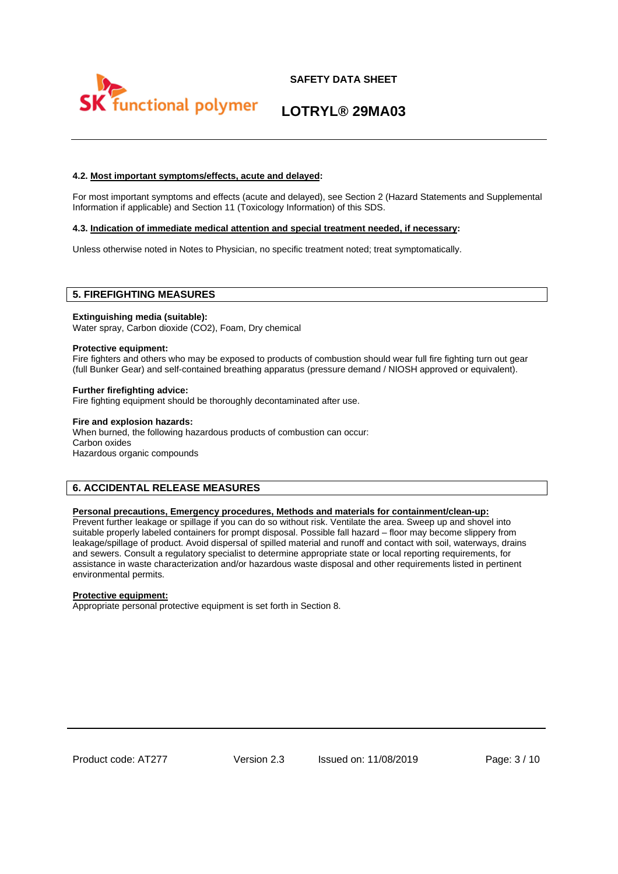



# **LOTRYL® 29MA03**

## **4.2. Most important symptoms/effects, acute and delayed:**

For most important symptoms and effects (acute and delayed), see Section 2 (Hazard Statements and Supplemental Information if applicable) and Section 11 (Toxicology Information) of this SDS.

#### **4.3. Indication of immediate medical attention and special treatment needed, if necessary:**

Unless otherwise noted in Notes to Physician, no specific treatment noted; treat symptomatically.

## **5. FIREFIGHTING MEASURES**

#### **Extinguishing media (suitable):**

Water spray, Carbon dioxide (CO2), Foam, Dry chemical

#### **Protective equipment:**

Fire fighters and others who may be exposed to products of combustion should wear full fire fighting turn out gear (full Bunker Gear) and self-contained breathing apparatus (pressure demand / NIOSH approved or equivalent).

#### **Further firefighting advice:**

Fire fighting equipment should be thoroughly decontaminated after use.

#### **Fire and explosion hazards:**

When burned, the following hazardous products of combustion can occur: Carbon oxides Hazardous organic compounds

## **6. ACCIDENTAL RELEASE MEASURES**

#### **Personal precautions, Emergency procedures, Methods and materials for containment/clean-up:**

Prevent further leakage or spillage if you can do so without risk. Ventilate the area. Sweep up and shovel into suitable properly labeled containers for prompt disposal. Possible fall hazard – floor may become slippery from leakage/spillage of product. Avoid dispersal of spilled material and runoff and contact with soil, waterways, drains and sewers. Consult a regulatory specialist to determine appropriate state or local reporting requirements, for assistance in waste characterization and/or hazardous waste disposal and other requirements listed in pertinent environmental permits.

### **Protective equipment:**

Appropriate personal protective equipment is set forth in Section 8.

Product code: AT277 Version 2.3 Issued on: 11/08/2019 Page: 3 / 10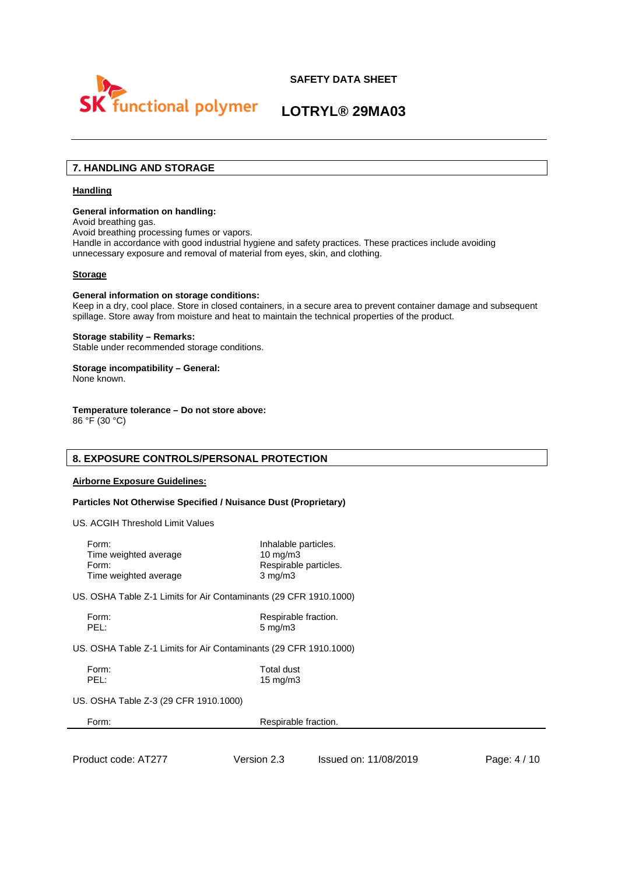



# **LOTRYL® 29MA03**

# **7. HANDLING AND STORAGE**

### **Handling**

#### **General information on handling:**

Avoid breathing gas.

Avoid breathing processing fumes or vapors.

Handle in accordance with good industrial hygiene and safety practices. These practices include avoiding unnecessary exposure and removal of material from eyes, skin, and clothing.

#### **Storage**

#### **General information on storage conditions:**

Keep in a dry, cool place. Store in closed containers, in a secure area to prevent container damage and subsequent spillage. Store away from moisture and heat to maintain the technical properties of the product.

#### **Storage stability – Remarks:**

Stable under recommended storage conditions.

# **Storage incompatibility – General:**

None known.

# **Temperature tolerance – Do not store above:**

86 °F (30 °C)

## **8. EXPOSURE CONTROLS/PERSONAL PROTECTION**

### **Airborne Exposure Guidelines:**

### **Particles Not Otherwise Specified / Nuisance Dust (Proprietary)**

US. ACGIH Threshold Limit Values

| Form:                 | Inhalable particles.  |
|-----------------------|-----------------------|
| Time weighted average | $10 \text{ mg/m}$     |
| Form:                 | Respirable particles. |
| Time weighted average | $3 \text{ mg/m}$      |
|                       |                       |

US. OSHA Table Z-1 Limits for Air Contaminants (29 CFR 1910.1000)

| orm: |  |
|------|--|
|      |  |

Respirable fraction. 5 mg/m3

US. OSHA Table Z-1 Limits for Air Contaminants (29 CFR 1910.1000)

Form: Total dust<br>
PFI: 15 ma/m3 15 mg/m3

US. OSHA Table Z-3 (29 CFR 1910.1000)

| Form: | Respirable fraction. |  |
|-------|----------------------|--|
|       |                      |  |

Product code: AT277 Version 2.3 Issued on: 11/08/2019 Page: 4/10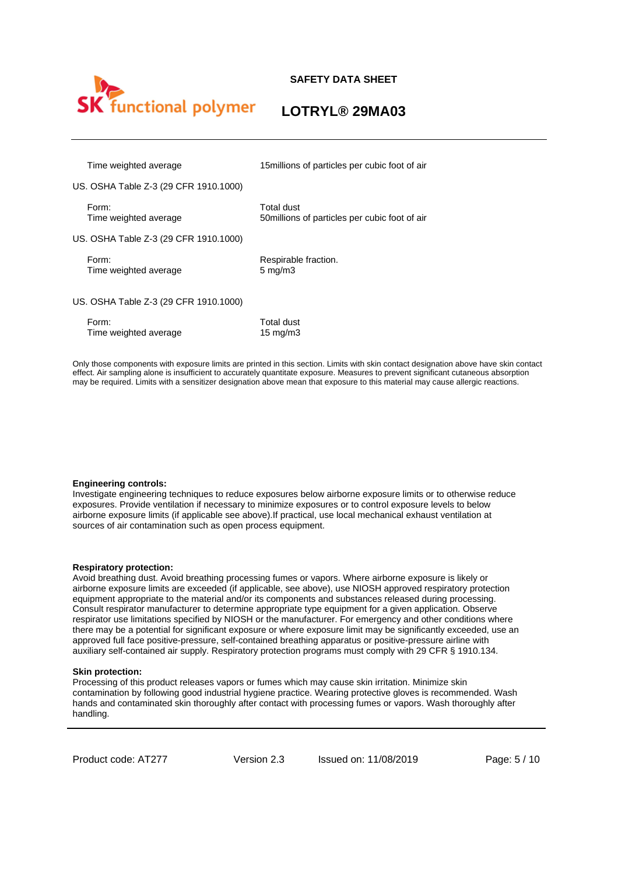

# **LOTRYL® 29MA03**

Time weighted average 15millions of particles per cubic foot of air

US. OSHA Table Z-3 (29 CFR 1910.1000)

Form: Total dust

Time weighted average 50millions of particles per cubic foot of air

US. OSHA Table Z-3 (29 CFR 1910.1000)

Time weighted average 5 mg/m3

Form: Respirable fraction.

US. OSHA Table Z-3 (29 CFR 1910.1000)

| Form:                 | Total dust  |
|-----------------------|-------------|
| Time weighted average | 15 mg/m $3$ |

Only those components with exposure limits are printed in this section. Limits with skin contact designation above have skin contact effect. Air sampling alone is insufficient to accurately quantitate exposure. Measures to prevent significant cutaneous absorption may be required. Limits with a sensitizer designation above mean that exposure to this material may cause allergic reactions.

### **Engineering controls:**

Investigate engineering techniques to reduce exposures below airborne exposure limits or to otherwise reduce exposures. Provide ventilation if necessary to minimize exposures or to control exposure levels to below airborne exposure limits (if applicable see above).If practical, use local mechanical exhaust ventilation at sources of air contamination such as open process equipment.

### **Respiratory protection:**

Avoid breathing dust. Avoid breathing processing fumes or vapors. Where airborne exposure is likely or airborne exposure limits are exceeded (if applicable, see above), use NIOSH approved respiratory protection equipment appropriate to the material and/or its components and substances released during processing. Consult respirator manufacturer to determine appropriate type equipment for a given application. Observe respirator use limitations specified by NIOSH or the manufacturer. For emergency and other conditions where there may be a potential for significant exposure or where exposure limit may be significantly exceeded, use an approved full face positive-pressure, self-contained breathing apparatus or positive-pressure airline with auxiliary self-contained air supply. Respiratory protection programs must comply with 29 CFR § 1910.134.

### **Skin protection:**

Processing of this product releases vapors or fumes which may cause skin irritation. Minimize skin contamination by following good industrial hygiene practice. Wearing protective gloves is recommended. Wash hands and contaminated skin thoroughly after contact with processing fumes or vapors. Wash thoroughly after handling.

Product code: AT277 Version 2.3 Issued on: 11/08/2019 Page: 5 / 10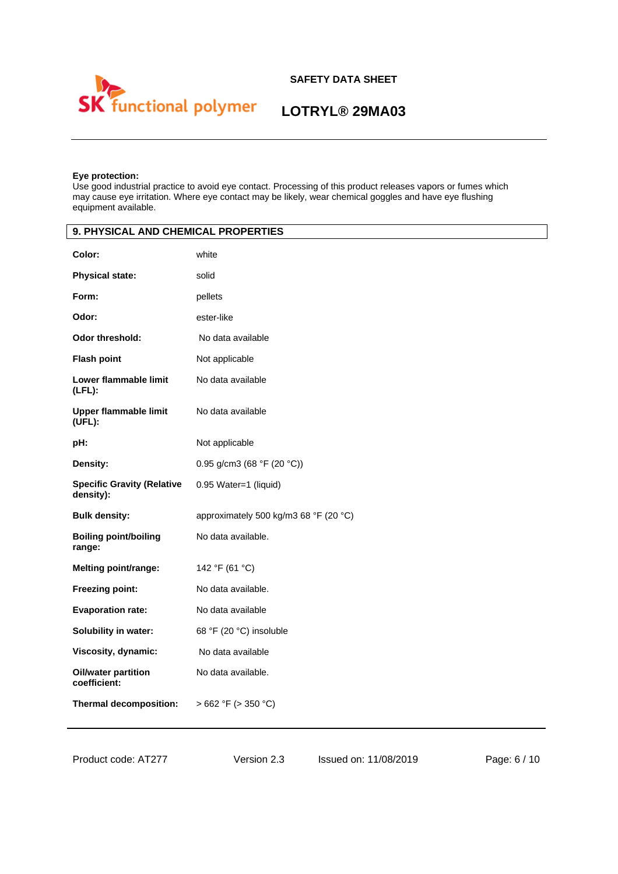

# **LOTRYL® 29MA03**

# **Eye protection:**

Use good industrial practice to avoid eye contact. Processing of this product releases vapors or fumes which may cause eye irritation. Where eye contact may be likely, wear chemical goggles and have eye flushing equipment available.

| 9. PHYSICAL AND CHEMICAL PROPERTIES            |                                       |  |
|------------------------------------------------|---------------------------------------|--|
| Color:                                         | white                                 |  |
| <b>Physical state:</b>                         | solid                                 |  |
| Form:                                          | pellets                               |  |
| Odor:                                          | ester-like                            |  |
| <b>Odor threshold:</b>                         | No data available                     |  |
| <b>Flash point</b>                             | Not applicable                        |  |
| Lower flammable limit<br>$(LFL)$ :             | No data available                     |  |
| <b>Upper flammable limit</b><br>(UFL):         | No data available                     |  |
| pH:                                            | Not applicable                        |  |
| Density:                                       | 0.95 g/cm3 (68 °F (20 °C))            |  |
| <b>Specific Gravity (Relative</b><br>density): | 0.95 Water=1 (liquid)                 |  |
| <b>Bulk density:</b>                           | approximately 500 kg/m3 68 °F (20 °C) |  |
| <b>Boiling point/boiling</b><br>range:         | No data available.                    |  |
| Melting point/range:                           | 142 °F (61 °C)                        |  |
| Freezing point:                                | No data available.                    |  |
| <b>Evaporation rate:</b>                       | No data available                     |  |
| Solubility in water:                           | 68 °F (20 °C) insoluble               |  |
| Viscosity, dynamic:                            | No data available                     |  |
| Oil/water partition<br>coefficient:            | No data available.                    |  |
| Thermal decomposition:                         | $>662$ °F ( $>350$ °C)                |  |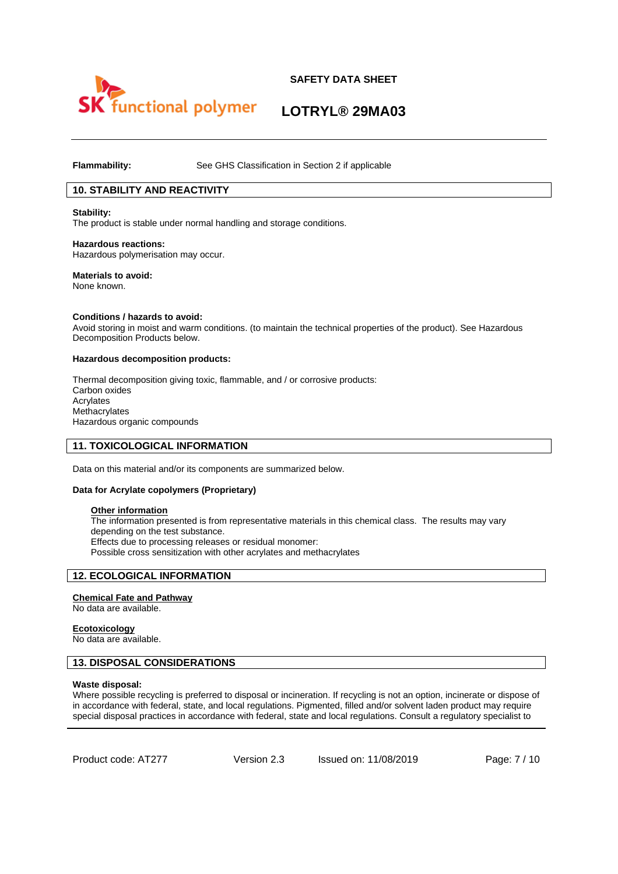

# **LOTRYL® 29MA03**

**Flammability:** See GHS Classification in Section 2 if applicable

# **10. STABILITY AND REACTIVITY**

**Stability:**  The product is stable under normal handling and storage conditions.

**Hazardous reactions:**  Hazardous polymerisation may occur.

**Materials to avoid:**  None known.

**Conditions / hazards to avoid:** 

Avoid storing in moist and warm conditions. (to maintain the technical properties of the product). See Hazardous Decomposition Products below.

#### **Hazardous decomposition products:**

Thermal decomposition giving toxic, flammable, and / or corrosive products: Carbon oxides Acrylates Methacrylates Hazardous organic compounds

### **11. TOXICOLOGICAL INFORMATION**

Data on this material and/or its components are summarized below.

#### **Data for Acrylate copolymers (Proprietary)**

### **Other information**

The information presented is from representative materials in this chemical class. The results may vary depending on the test substance. Effects due to processing releases or residual monomer: Possible cross sensitization with other acrylates and methacrylates

## **12. ECOLOGICAL INFORMATION**

### **Chemical Fate and Pathway**

No data are available.

#### **Ecotoxicology**

No data are available.

### **13. DISPOSAL CONSIDERATIONS**

#### **Waste disposal:**

Where possible recycling is preferred to disposal or incineration. If recycling is not an option, incinerate or dispose of in accordance with federal, state, and local regulations. Pigmented, filled and/or solvent laden product may require special disposal practices in accordance with federal, state and local regulations. Consult a regulatory specialist to

Product code: AT277 Version 2.3 Issued on: 11/08/2019 Page: 7/10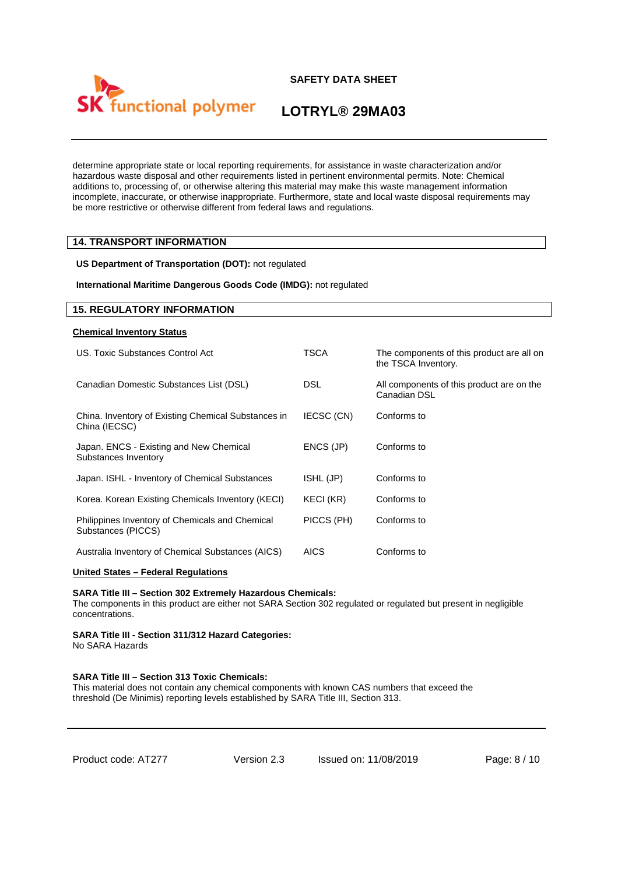

**LOTRYL® 29MA03**

determine appropriate state or local reporting requirements, for assistance in waste characterization and/or hazardous waste disposal and other requirements listed in pertinent environmental permits. Note: Chemical additions to, processing of, or otherwise altering this material may make this waste management information incomplete, inaccurate, or otherwise inappropriate. Furthermore, state and local waste disposal requirements may be more restrictive or otherwise different from federal laws and regulations.

## **14. TRANSPORT INFORMATION**

**US Department of Transportation (DOT):** not regulated

**International Maritime Dangerous Goods Code (IMDG):** not regulated

## **15. REGULATORY INFORMATION**

#### **Chemical Inventory Status**

| US. Toxic Substances Control Act                                      | TSCA        | The components of this product are all on<br>the TSCA Inventory. |
|-----------------------------------------------------------------------|-------------|------------------------------------------------------------------|
| Canadian Domestic Substances List (DSL)                               | <b>DSL</b>  | All components of this product are on the<br>Canadian DSL        |
| China. Inventory of Existing Chemical Substances in<br>China (IECSC)  | IECSC (CN)  | Conforms to                                                      |
| Japan. ENCS - Existing and New Chemical<br>Substances Inventory       | ENCS (JP)   | Conforms to                                                      |
| Japan. ISHL - Inventory of Chemical Substances                        | ISHL (JP)   | Conforms to                                                      |
| Korea. Korean Existing Chemicals Inventory (KECI)                     | KECI (KR)   | Conforms to                                                      |
| Philippines Inventory of Chemicals and Chemical<br>Substances (PICCS) | PICCS (PH)  | Conforms to                                                      |
| Australia Inventory of Chemical Substances (AICS)                     | <b>AICS</b> | Conforms to                                                      |

### **United States – Federal Regulations**

#### **SARA Title III – Section 302 Extremely Hazardous Chemicals:**

The components in this product are either not SARA Section 302 regulated or regulated but present in negligible concentrations.

## **SARA Title III - Section 311/312 Hazard Categories:**

No SARA Hazards

# **SARA Title III – Section 313 Toxic Chemicals:**

This material does not contain any chemical components with known CAS numbers that exceed the threshold (De Minimis) reporting levels established by SARA Title III, Section 313.

| Product code: AT277 |  |
|---------------------|--|
|---------------------|--|

Version 2.3 Issued on: 11/08/2019 Page: 8 / 10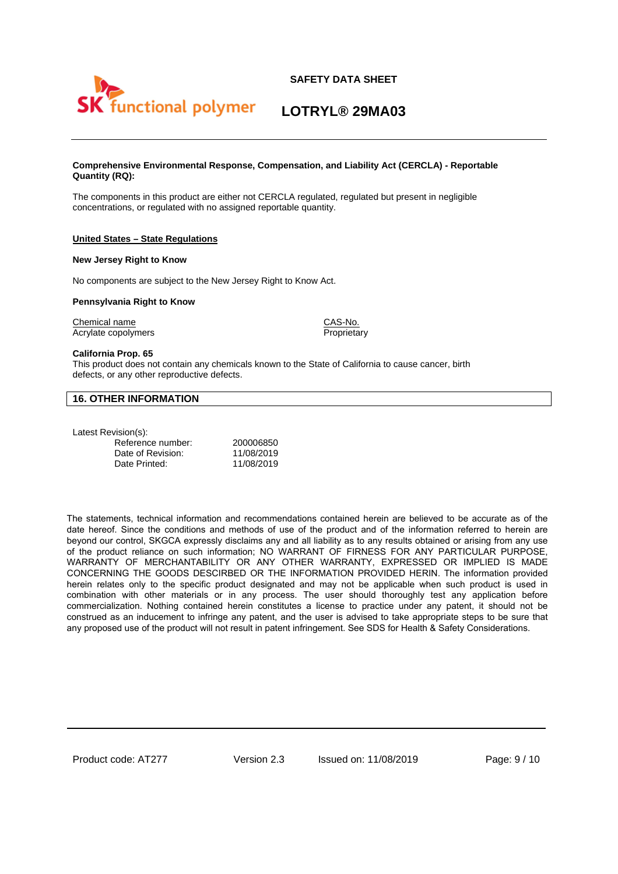



**LOTRYL® 29MA03**

#### **Comprehensive Environmental Response, Compensation, and Liability Act (CERCLA) - Reportable Quantity (RQ):**

The components in this product are either not CERCLA regulated, regulated but present in negligible concentrations, or regulated with no assigned reportable quantity.

### **United States – State Regulations**

#### **New Jersey Right to Know**

No components are subject to the New Jersey Right to Know Act.

#### **Pennsylvania Right to Know**

Chemical name CAS-No. Acrylate copolymers **Proprietary** Proprietary

#### **California Prop. 65**

This product does not contain any chemicals known to the State of California to cause cancer, birth defects, or any other reproductive defects.

## **16. OTHER INFORMATION**

Latest Revision(s):

| 200006850  |
|------------|
| 11/08/2019 |
| 11/08/2019 |
|            |

The statements, technical information and recommendations contained herein are believed to be accurate as of the date hereof. Since the conditions and methods of use of the product and of the information referred to herein are beyond our control, SKGCA expressly disclaims any and all liability as to any results obtained or arising from any use of the product reliance on such information; NO WARRANT OF FIRNESS FOR ANY PARTICULAR PURPOSE, WARRANTY OF MERCHANTABILITY OR ANY OTHER WARRANTY, EXPRESSED OR IMPLIED IS MADE CONCERNING THE GOODS DESCIRBED OR THE INFORMATION PROVIDED HERIN. The information provided herein relates only to the specific product designated and may not be applicable when such product is used in combination with other materials or in any process. The user should thoroughly test any application before commercialization. Nothing contained herein constitutes a license to practice under any patent, it should not be construed as an inducement to infringe any patent, and the user is advised to take appropriate steps to be sure that any proposed use of the product will not result in patent infringement. See SDS for Health & Safety Considerations.

Product code: AT277 Version 2.3 Issued on: 11/08/2019 Page: 9/10